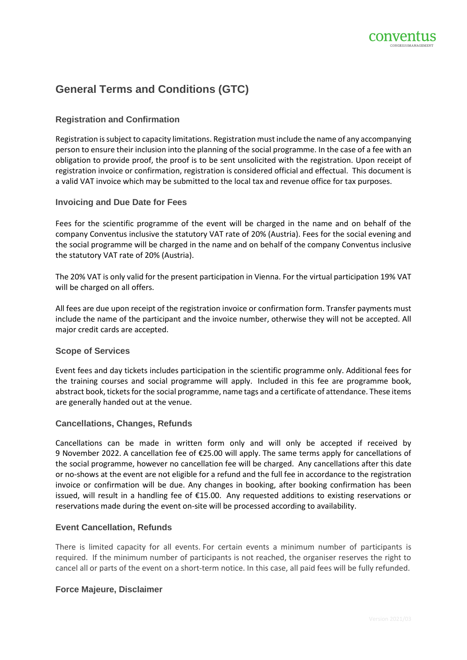

# **General Terms and Conditions (GTC)**

# **Registration and Confirmation**

Registration is subject to capacity limitations. Registration must include the name of any accompanying person to ensure their inclusion into the planning of the social programme. In the case of a fee with an obligation to provide proof, the proof is to be sent unsolicited with the registration. Upon receipt of registration invoice or confirmation, registration is considered official and effectual. This document is a valid VAT invoice which may be submitted to the local tax and revenue office for tax purposes.

## **Invoicing and Due Date for Fees**

Fees for the scientific programme of the event will be charged in the name and on behalf of the company Conventus inclusive the statutory VAT rate of 20% (Austria). Fees for the social evening and the social programme will be charged in the name and on behalf of the company Conventus inclusive the statutory VAT rate of 20% (Austria).

The 20% VAT is only valid for the present participation in Vienna. For the virtual participation 19% VAT will be charged on all offers.

All fees are due upon receipt of the registration invoice or confirmation form. Transfer payments must include the name of the participant and the invoice number, otherwise they will not be accepted. All major credit cards are accepted.

## **Scope of Services**

Event fees and day tickets includes participation in the scientific programme only. Additional fees for the training courses and social programme will apply. Included in this fee are programme book, abstract book, tickets for the social programme, name tags and a certificate of attendance. These items are generally handed out at the venue.

## **Cancellations, Changes, Refunds**

Cancellations can be made in written form only and will only be accepted if received by 9 November 2022. A cancellation fee of €25.00 will apply. The same terms apply for cancellations of the social programme, however no cancellation fee will be charged. Any cancellations after this date or no-shows at the event are not eligible for a refund and the full fee in accordance to the registration invoice or confirmation will be due. Any changes in booking, after booking confirmation has been issued, will result in a handling fee of €15.00. Any requested additions to existing reservations or reservations made during the event on-site will be processed according to availability.

## **Event Cancellation, Refunds**

There is limited capacity for all events. For certain events a minimum number of participants is required. If the minimum number of participants is not reached, the organiser reserves the right to cancel all or parts of the event on a short-term notice. In this case, all paid fees will be fully refunded.

## **Force Majeure, Disclaimer**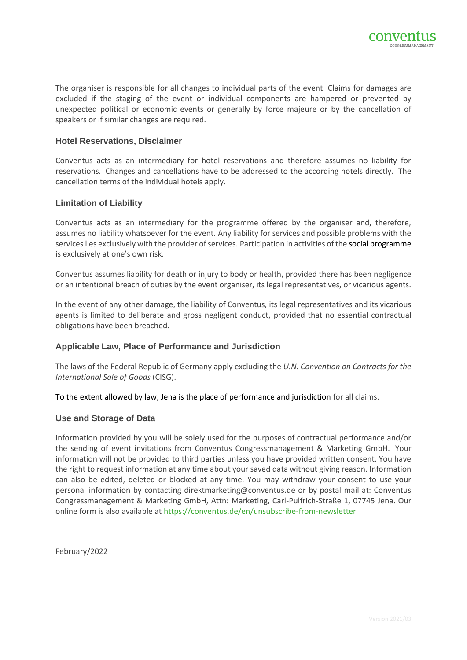

The organiser is responsible for all changes to individual parts of the event. Claims for damages are excluded if the staging of the event or individual components are hampered or prevented by unexpected political or economic events or generally by force majeure or by the cancellation of speakers or if similar changes are required.

#### **Hotel Reservations, Disclaimer**

Conventus acts as an intermediary for hotel reservations and therefore assumes no liability for reservations. Changes and cancellations have to be addressed to the according hotels directly. The cancellation terms of the individual hotels apply.

#### **Limitation of Liability**

Conventus acts as an intermediary for the programme offered by the organiser and, therefore, assumes no liability whatsoever for the event. Any liability for services and possible problems with the services lies exclusively with the provider of services. Participation in activities of the social programme is exclusively at one's own risk.

Conventus assumes liability for death or injury to body or health, provided there has been negligence or an intentional breach of duties by the event organiser, its legal representatives, or vicarious agents.

In the event of any other damage, the liability of Conventus, its legal representatives and its vicarious agents is limited to deliberate and gross negligent conduct, provided that no essential contractual obligations have been breached.

## **Applicable Law, Place of Performance and Jurisdiction**

The laws of the Federal Republic of Germany apply excluding the *U.N. Convention on Contracts for the International Sale of Goods* (CISG).

To the extent allowed by law, Jena is the place of performance and jurisdiction for all claims.

#### **Use and Storage of Data**

Information provided by you will be solely used for the purposes of contractual performance and/or the sending of event invitations from Conventus Congressmanagement & Marketing GmbH. Your information will not be provided to third parties unless you have provided written consent. You have the right to request information at any time about your saved data without giving reason. Information can also be edited, deleted or blocked at any time. You may withdraw your consent to use your personal information by contacting direktmarketing@conventus.de or by postal mail at: Conventus Congressmanagement & Marketing GmbH, Attn: Marketing, Carl-Pulfrich-Straße 1, 07745 Jena. Our online form is also available a[t https://conventus.de/en/unsubscribe-from-newsletter](https://conventus.de/en/unsubscribe-from-newsletter)

February/2022